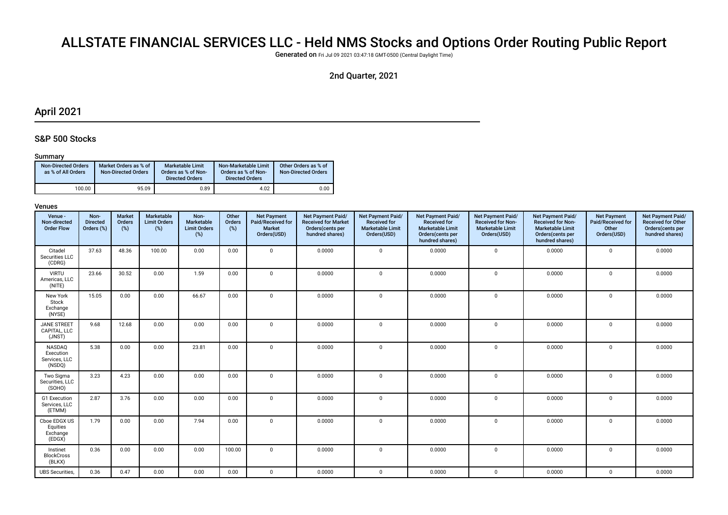# ALLSTATE FINANCIAL SERVICES LLC - Held NMS Stocks and Options Order Routing Public Report

Generated on Fri Jul 09 2021 03:47:18 GMT-0500 (Central Daylight Time)

# 2nd Quarter, 2021

# April 2021

### S&P 500 Stocks

#### Summary

| <b>Non-Directed Orders</b><br>as % of All Orders | Market Orders as % of<br><b>Non-Directed Orders</b> | Marketable Limit<br>Orders as % of Non-<br><b>Directed Orders</b> | Non-Marketable Limit<br>Orders as % of Non-<br><b>Directed Orders</b> | Other Orders as % of<br><b>Non-Directed Orders</b> |
|--------------------------------------------------|-----------------------------------------------------|-------------------------------------------------------------------|-----------------------------------------------------------------------|----------------------------------------------------|
| 100.00                                           | 95.09                                               | 0.89                                                              | 4.02                                                                  | 0.00                                               |

| Venue -<br>Non-directed<br><b>Order Flow</b>   | Non-<br><b>Directed</b><br>Orders (%) | <b>Market</b><br>Orders<br>$(\%)$ | Marketable<br><b>Limit Orders</b><br>(%) | Non-<br>Marketable<br><b>Limit Orders</b><br>(%) | Other<br>Orders<br>$(\%)$ | <b>Net Payment</b><br>Paid/Received for<br><b>Market</b><br>Orders(USD) | Net Payment Paid/<br><b>Received for Market</b><br>Orders(cents per<br>hundred shares) | Net Payment Paid/<br><b>Received for</b><br><b>Marketable Limit</b><br>Orders(USD) | Net Payment Paid/<br><b>Received for</b><br><b>Marketable Limit</b><br>Orders(cents per<br>hundred shares) | Net Payment Paid/<br>Received for Non-<br><b>Marketable Limit</b><br>Orders(USD) | Net Payment Paid/<br><b>Received for Non-</b><br><b>Marketable Limit</b><br>Orders(cents per<br>hundred shares) | <b>Net Payment</b><br>Paid/Received for<br>Other<br>Orders(USD) | Net Payment Paid/<br><b>Received for Other</b><br>Orders(cents per<br>hundred shares) |
|------------------------------------------------|---------------------------------------|-----------------------------------|------------------------------------------|--------------------------------------------------|---------------------------|-------------------------------------------------------------------------|----------------------------------------------------------------------------------------|------------------------------------------------------------------------------------|------------------------------------------------------------------------------------------------------------|----------------------------------------------------------------------------------|-----------------------------------------------------------------------------------------------------------------|-----------------------------------------------------------------|---------------------------------------------------------------------------------------|
| Citadel<br>Securities LLC<br>(CDRG)            | 37.63                                 | 48.36                             | 100.00                                   | 0.00                                             | 0.00                      | $\mathbf 0$                                                             | 0.0000                                                                                 | $\mathbf{0}$                                                                       | 0.0000                                                                                                     | $\mathbf 0$                                                                      | 0.0000                                                                                                          | $\mathbf 0$                                                     | 0.0000                                                                                |
| <b>VIRTU</b><br>Americas, LLC<br>(NITE)        | 23.66                                 | 30.52                             | 0.00                                     | 1.59                                             | 0.00                      | $\mathbf 0$                                                             | 0.0000                                                                                 | $\mathbf 0$                                                                        | 0.0000                                                                                                     | $\mathbf 0$                                                                      | 0.0000                                                                                                          | $\mathbf 0$                                                     | 0.0000                                                                                |
| New York<br>Stock<br>Exchange<br>(NYSE)        | 15.05                                 | 0.00                              | 0.00                                     | 66.67                                            | 0.00                      | $\mathbf 0$                                                             | 0.0000                                                                                 | $\mathbf 0$                                                                        | 0.0000                                                                                                     | $\mathbf 0$                                                                      | 0.0000                                                                                                          | $\mathbf 0$                                                     | 0.0000                                                                                |
| <b>JANE STREET</b><br>CAPITAL, LLC<br>(JNST)   | 9.68                                  | 12.68                             | 0.00                                     | 0.00                                             | 0.00                      | $\mathbf 0$                                                             | 0.0000                                                                                 | $\mathbf 0$                                                                        | 0.0000                                                                                                     | 0                                                                                | 0.0000                                                                                                          | $\mathbf 0$                                                     | 0.0000                                                                                |
| NASDAQ<br>Execution<br>Services, LLC<br>(NSDQ) | 5.38                                  | 0.00                              | 0.00                                     | 23.81                                            | 0.00                      | $\mathbf 0$                                                             | 0.0000                                                                                 | $\mathbf{0}$                                                                       | 0.0000                                                                                                     | $\mathbf 0$                                                                      | 0.0000                                                                                                          | $\mathbf 0$                                                     | 0.0000                                                                                |
| Two Sigma<br>Securities, LLC<br>(SOHO)         | 3.23                                  | 4.23                              | 0.00                                     | 0.00                                             | 0.00                      | $\Omega$                                                                | 0.0000                                                                                 | $\Omega$                                                                           | 0.0000                                                                                                     | $\mathbf 0$                                                                      | 0.0000                                                                                                          | $\mathbf 0$                                                     | 0.0000                                                                                |
| G1 Execution<br>Services, LLC<br>(ETMM)        | 2.87                                  | 3.76                              | 0.00                                     | 0.00                                             | 0.00                      | $\mathbf 0$                                                             | 0.0000                                                                                 | $\mathbf 0$                                                                        | 0.0000                                                                                                     | $\mathbf 0$                                                                      | 0.0000                                                                                                          | $\Omega$                                                        | 0.0000                                                                                |
| Cboe EDGX US<br>Equities<br>Exchange<br>(EDGX) | 1.79                                  | 0.00                              | 0.00                                     | 7.94                                             | 0.00                      | $\mathbf 0$                                                             | 0.0000                                                                                 | $\mathbf 0$                                                                        | 0.0000                                                                                                     | $\mathbf 0$                                                                      | 0.0000                                                                                                          | $\Omega$                                                        | 0.0000                                                                                |
| Instinet<br><b>BlockCross</b><br>(BLKX)        | 0.36                                  | 0.00                              | 0.00                                     | 0.00                                             | 100.00                    | $\mathbf 0$                                                             | 0.0000                                                                                 | $\mathbf 0$                                                                        | 0.0000                                                                                                     | 0                                                                                | 0.0000                                                                                                          | $\Omega$                                                        | 0.0000                                                                                |
| <b>UBS</b> Securities,                         | 0.36                                  | 0.47                              | 0.00                                     | 0.00                                             | 0.00                      | $\mathbf 0$                                                             | 0.0000                                                                                 | $\mathbf 0$                                                                        | 0.0000                                                                                                     | 0                                                                                | 0.0000                                                                                                          | $\mathbf 0$                                                     | 0.0000                                                                                |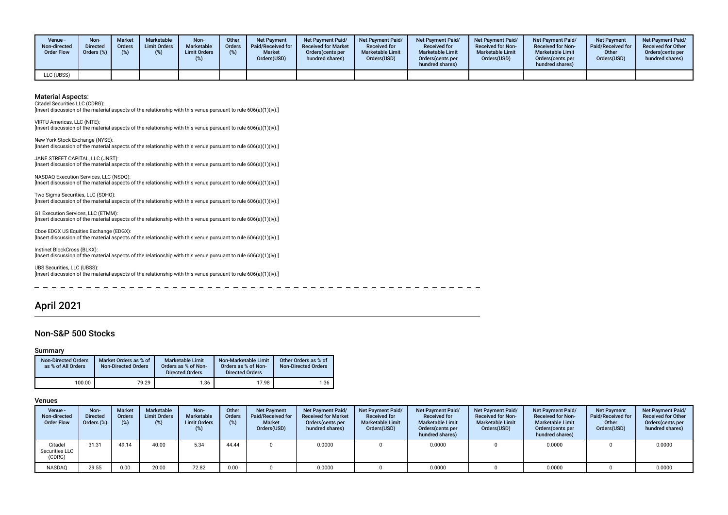| Venue ·<br>Non-directed<br><b>Order Flow</b> | Non-<br><b>Directed</b><br>Orders (%) | <b>Market</b><br>Orders<br>(%) | <b>Marketable</b><br><b>Limit Orders</b> | <b>Non-</b><br>Marketable<br><b>Limit Orders</b> | Other<br><b>Orders</b><br>(%) | <b>Net Payment</b><br>Paid/Received for I<br><b>Market</b><br>Orders(USD) | <b>Net Payment Paid/</b><br><b>Received for Market</b><br>Orders (cents per<br>hundred shares) | <b>Net Payment Paid/</b><br><b>Received for</b><br><b>Marketable Limit</b><br>Orders(USD) | <b>Net Payment Paid/</b><br><b>Received for</b><br><b>Marketable Limit</b><br>Orders (cents per<br>hundred shares) | <b>Net Payment Paid/</b><br><b>Received for Non-</b><br><b>Marketable Limit</b><br>Orders(USD) | <b>Net Payment Paid/</b><br><b>Received for Non-</b><br><b>Marketable Limit</b><br>Orders(cents per<br>hundred shares) | <b>Net Payment</b><br>Paid/Received for<br>Other<br>Orders(USD) | <b>Net Payment Paid/</b><br><b>Received for Other</b><br>Orders(cents per<br>hundred shares) |
|----------------------------------------------|---------------------------------------|--------------------------------|------------------------------------------|--------------------------------------------------|-------------------------------|---------------------------------------------------------------------------|------------------------------------------------------------------------------------------------|-------------------------------------------------------------------------------------------|--------------------------------------------------------------------------------------------------------------------|------------------------------------------------------------------------------------------------|------------------------------------------------------------------------------------------------------------------------|-----------------------------------------------------------------|----------------------------------------------------------------------------------------------|
| LLC (UBSS)                                   |                                       |                                |                                          |                                                  |                               |                                                                           |                                                                                                |                                                                                           |                                                                                                                    |                                                                                                |                                                                                                                        |                                                                 |                                                                                              |

Citadel Securities LLC (CDRG):

[Insert discussion of the material aspects of the relationship with this venue pursuant to rule 606(a)(1)(iv).]

VIRTU Americas, LLC (NITE): [Insert discussion of the material aspects of the relationship with this venue pursuant to rule 606(a)(1)(iv).]

New York Stock Exchange (NYSE): [Insert discussion of the material aspects of the relationship with this venue pursuant to rule 606(a)(1)(iv).]

JANE STREET CAPITAL, LLC (JNST): [Insert discussion of the material aspects of the relationship with this venue pursuant to rule 606(a)(1)(iv).]

NASDAQ Execution Services, LLC (NSDQ): [Insert discussion of the material aspects of the relationship with this venue pursuant to rule 606(a)(1)(iv).]

Two Sigma Securities, LLC (SOHO): [Insert discussion of the material aspects of the relationship with this venue pursuant to rule 606(a)(1)(iv).]

G1 Execution Services, LLC (ETMM): [Insert discussion of the material aspects of the relationship with this venue pursuant to rule 606(a)(1)(iv).]

Cboe EDGX US Equities Exchange (EDGX): [Insert discussion of the material aspects of the relationship with this venue pursuant to rule 606(a)(1)(iv).]

Instinet BlockCross (BLKX): [Insert discussion of the material aspects of the relationship with this venue pursuant to rule 606(a)(1)(iv).]

UBS Securities, LLC (UBSS): [Insert discussion of the material aspects of the relationship with this venue pursuant to rule 606(a)(1)(iv).]

# April 2021

### Non-S&P 500 Stocks

#### Summary

| <b>Non-Directed Orders</b><br>as % of All Orders | Market Orders as % of<br><b>Non-Directed Orders</b> | Marketable Limit<br>Orders as % of Non-<br><b>Directed Orders</b> | Non-Marketable Limit<br>Orders as % of Non-<br><b>Directed Orders</b> | Other Orders as % of<br><b>Non-Directed Orders</b> |
|--------------------------------------------------|-----------------------------------------------------|-------------------------------------------------------------------|-----------------------------------------------------------------------|----------------------------------------------------|
| 100.00                                           | 79.29                                               | 1.36                                                              | 17.98                                                                 | 1.36                                               |

| Venue -<br>Non-directed<br><b>Order Flow</b> | Non-<br><b>Directed</b><br>Orders (%) | <b>Market</b><br><b>Orders</b><br>(%) | <b>Marketable</b><br><b>Limit Orders</b><br>(% ) | Non-<br>Marketable<br><b>Limit Orders</b><br>(%) | Other<br><b>Orders</b><br>(%) | <b>Net Payment</b><br>Paid/Received for<br><b>Market</b><br>Orders(USD) | Net Payment Paid/<br><b>Received for Market</b><br>Orders (cents per<br>hundred shares) | <b>Net Payment Paid/</b><br><b>Received for</b><br><b>Marketable Limit</b><br>Orders(USD) | <b>Net Payment Paid/</b><br><b>Received for</b><br><b>Marketable Limit</b><br>Orders (cents per<br>hundred shares) | <b>Net Payment Paid/</b><br><b>Received for Non-</b><br><b>Marketable Limit</b><br>Orders(USD) | <b>Net Payment Paid/</b><br><b>Received for Non-</b><br><b>Marketable Limit</b><br>Orders (cents per<br>hundred shares) | <b>Net Payment</b><br>Paid/Received for<br>Other<br>Orders(USD) | <b>Net Payment Paid/</b><br><b>Received for Other</b><br>Orders(cents per<br>hundred shares) |
|----------------------------------------------|---------------------------------------|---------------------------------------|--------------------------------------------------|--------------------------------------------------|-------------------------------|-------------------------------------------------------------------------|-----------------------------------------------------------------------------------------|-------------------------------------------------------------------------------------------|--------------------------------------------------------------------------------------------------------------------|------------------------------------------------------------------------------------------------|-------------------------------------------------------------------------------------------------------------------------|-----------------------------------------------------------------|----------------------------------------------------------------------------------------------|
| Citadel<br>Securities LLC<br>(CDRG)          | 31.31                                 | 49.14                                 | 40.00                                            | 5.34                                             | 44.44                         |                                                                         | 0.0000                                                                                  |                                                                                           | 0.0000                                                                                                             |                                                                                                | 0.0000                                                                                                                  |                                                                 | 0.0000                                                                                       |
| <b>NASDAQ</b>                                | 29.55                                 | 0.00                                  | 20.00                                            | 72.82                                            | 0.00                          |                                                                         | 0.0000                                                                                  |                                                                                           | 0.0000                                                                                                             |                                                                                                | 0.0000                                                                                                                  |                                                                 | 0.0000                                                                                       |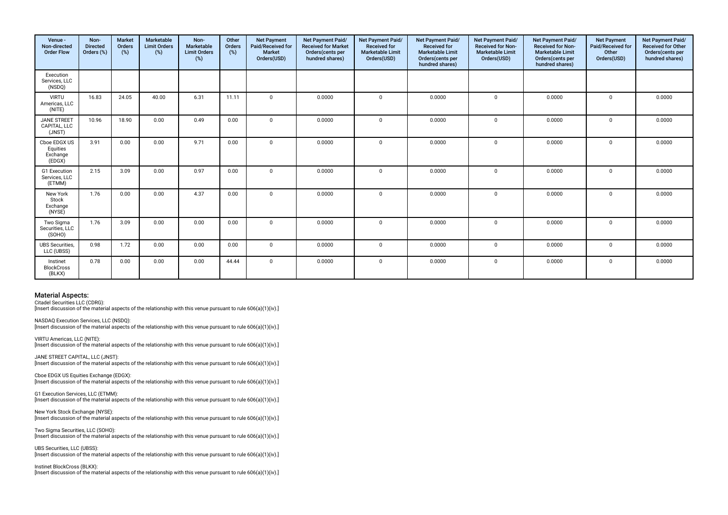| Venue -<br>Non-directed<br><b>Order Flow</b>   | Non-<br><b>Directed</b><br>Orders (%) | <b>Market</b><br><b>Orders</b><br>(%) | Marketable<br><b>Limit Orders</b><br>$(\%)$ | Non-<br>Marketable<br><b>Limit Orders</b><br>(%) | Other<br>Orders<br>(%) | <b>Net Payment</b><br>Paid/Received for<br><b>Market</b><br>Orders(USD) | Net Payment Paid/<br><b>Received for Market</b><br>Orders(cents per<br>hundred shares) | Net Payment Paid/<br><b>Received for</b><br><b>Marketable Limit</b><br>Orders(USD) | Net Payment Paid/<br><b>Received for</b><br><b>Marketable Limit</b><br>Orders(cents per<br>hundred shares) | Net Payment Paid/<br><b>Received for Non-</b><br><b>Marketable Limit</b><br>Orders(USD) | Net Payment Paid/<br><b>Received for Non-</b><br><b>Marketable Limit</b><br>Orders(cents per<br>hundred shares) | <b>Net Payment</b><br>Paid/Received for<br>Other<br>Orders(USD) | Net Payment Paid/<br><b>Received for Other</b><br>Orders(cents per<br>hundred shares) |
|------------------------------------------------|---------------------------------------|---------------------------------------|---------------------------------------------|--------------------------------------------------|------------------------|-------------------------------------------------------------------------|----------------------------------------------------------------------------------------|------------------------------------------------------------------------------------|------------------------------------------------------------------------------------------------------------|-----------------------------------------------------------------------------------------|-----------------------------------------------------------------------------------------------------------------|-----------------------------------------------------------------|---------------------------------------------------------------------------------------|
| Execution<br>Services, LLC<br>(NSDQ)           |                                       |                                       |                                             |                                                  |                        |                                                                         |                                                                                        |                                                                                    |                                                                                                            |                                                                                         |                                                                                                                 |                                                                 |                                                                                       |
| <b>VIRTU</b><br>Americas, LLC<br>(NITE)        | 16.83                                 | 24.05                                 | 40.00                                       | 6.31                                             | 11.11                  | $\mathbf 0$                                                             | 0.0000                                                                                 | $\mathbf 0$                                                                        | 0.0000                                                                                                     | $\mathbf 0$                                                                             | 0.0000                                                                                                          | $\mathbf 0$                                                     | 0.0000                                                                                |
| <b>JANE STREET</b><br>CAPITAL, LLC<br>(JNST)   | 10.96                                 | 18.90                                 | 0.00                                        | 0.49                                             | 0.00                   | $\mathbf 0$                                                             | 0.0000                                                                                 | $\Omega$                                                                           | 0.0000                                                                                                     | $\mathbf 0$                                                                             | 0.0000                                                                                                          | $\mathbf 0$                                                     | 0.0000                                                                                |
| Cboe EDGX US<br>Equities<br>Exchange<br>(EDGX) | 3.91                                  | 0.00                                  | 0.00                                        | 9.71                                             | 0.00                   | $\Omega$                                                                | 0.0000                                                                                 | $\Omega$                                                                           | 0.0000                                                                                                     | $\mathbf 0$                                                                             | 0.0000                                                                                                          | $\mathbf 0$                                                     | 0.0000                                                                                |
| G1 Execution<br>Services, LLC<br>(ETMM)        | 2.15                                  | 3.09                                  | 0.00                                        | 0.97                                             | 0.00                   | $\mathbf 0$                                                             | 0.0000                                                                                 | $\mathbf 0$                                                                        | 0.0000                                                                                                     | $\mathbf 0$                                                                             | 0.0000                                                                                                          | $\mathbf 0$                                                     | 0.0000                                                                                |
| New York<br>Stock<br>Exchange<br>(NYSE)        | 1.76                                  | 0.00                                  | 0.00                                        | 4.37                                             | 0.00                   | $\Omega$                                                                | 0.0000                                                                                 | $\Omega$                                                                           | 0.0000                                                                                                     | $\mathbf 0$                                                                             | 0.0000                                                                                                          | $\mathbf 0$                                                     | 0.0000                                                                                |
| Two Sigma<br>Securities, LLC<br>(SOHO)         | 1.76                                  | 3.09                                  | 0.00                                        | 0.00                                             | 0.00                   | $\Omega$                                                                | 0.0000                                                                                 | $\Omega$                                                                           | 0.0000                                                                                                     | $\mathbf{0}$                                                                            | 0.0000                                                                                                          | $\Omega$                                                        | 0.0000                                                                                |
| <b>UBS</b> Securities,<br>LLC (UBSS)           | 0.98                                  | 1.72                                  | 0.00                                        | 0.00                                             | 0.00                   | $\Omega$                                                                | 0.0000                                                                                 | $\Omega$                                                                           | 0.0000                                                                                                     | $\mathbf{0}$                                                                            | 0.0000                                                                                                          | $\mathbf 0$                                                     | 0.0000                                                                                |
| Instinet<br><b>BlockCross</b><br>(BLKX)        | 0.78                                  | 0.00                                  | 0.00                                        | 0.00                                             | 44.44                  | $\mathbf{0}$                                                            | 0.0000                                                                                 | $\Omega$                                                                           | 0.0000                                                                                                     | $\mathbf 0$                                                                             | 0.0000                                                                                                          | 0                                                               | 0.0000                                                                                |

Citadel Securities LLC (CDRG):

[Insert discussion of the material aspects of the relationship with this venue pursuant to rule 606(a)(1)(iv).]

NASDAQ Execution Services, LLC (NSDQ): [Insert discussion of the material aspects of the relationship with this venue pursuant to rule 606(a)(1)(iv).]

VIRTU Americas, LLC (NITE): [Insert discussion of the material aspects of the relationship with this venue pursuant to rule 606(a)(1)(iv).]

JANE STREET CAPITAL, LLC (JNST): [Insert discussion of the material aspects of the relationship with this venue pursuant to rule 606(a)(1)(iv).]

Cboe EDGX US Equities Exchange (EDGX):  $\frac{1}{2}$  [Insert discussion of the material aspects of the relationship with this venue pursuant to rule 606(a)(1)(iv).]

G1 Execution Services, LLC (ETMM): [Insert discussion of the material aspects of the relationship with this venue pursuant to rule 606(a)(1)(iv).]

New York Stock Exchange (NYSE): [Insert discussion of the material aspects of the relationship with this venue pursuant to rule 606(a)(1)(iv).]

Two Sigma Securities, LLC (SOHO): [Insert discussion of the material aspects of the relationship with this venue pursuant to rule 606(a)(1)(iv).]

UBS Securities, LLC (UBSS): [Insert discussion of the material aspects of the relationship with this venue pursuant to rule 606(a)(1)(iv).]

Instinet BlockCross (BLKX): [Insert discussion of the material aspects of the relationship with this venue pursuant to rule 606(a)(1)(iv).]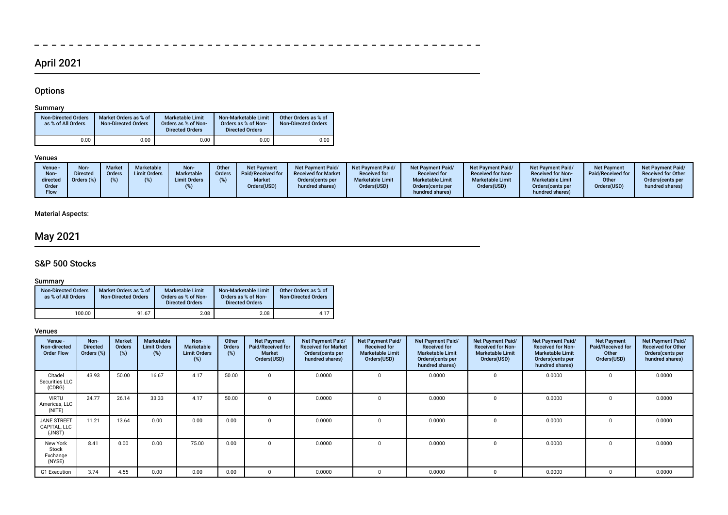# April 2021

 $\equiv$ 

 $- - - - - - - - - -$ 

 $\overline{\phantom{a}}$ 

# **Options**

 $\overline{\phantom{a}}$ 

### Summary

| <b>Non-Directed Orders</b><br>as % of All Orders | Market Orders as % of<br><b>Non-Directed Orders</b> | <b>Marketable Limit</b><br>Orders as % of Non-<br><b>Directed Orders</b> | Non-Marketable Limit<br>Orders as % of Non-<br><b>Directed Orders</b> | Other Orders as % of<br><b>Non-Directed Orders</b> |
|--------------------------------------------------|-----------------------------------------------------|--------------------------------------------------------------------------|-----------------------------------------------------------------------|----------------------------------------------------|
| 0.00                                             | 0.00                                                | 0.00                                                                     | 0.00                                                                  | 0.00                                               |

### Venues

| Venue -<br>Non-<br>directed<br>Order<br>Flow | Non-<br><b>Market</b><br>Directed<br>Orders<br>Orders (%) | <b>Marketable</b><br><b>Limit Orders</b> | Non-<br>Marketable<br><b>Limit Orders</b> | Other<br>Orders | <b>Net Payment</b><br>Paid/Received for<br><b>Market</b><br>Orders(USD) | <b>Net Payment Paid/</b><br><b>Received for Market</b><br>Orders (cents per<br>hundred shares) | Net Payment Paid/<br><b>Received for</b><br><b>Marketable Limit</b><br>Orders(USD) | <b>Net Payment Paid/</b><br><b>Received for</b><br><b>Marketable Limit</b><br>Orders (cents per<br>hundred shares) | <b>Net Payment Paid/</b><br><b>Received for Non-</b><br><b>Marketable Limit</b><br>Orders(USD) | <b>Net Payment Paid/</b><br><b>Received for Non-</b><br><b>Marketable Limit</b><br>Orders(cents per<br>hundred shares) | <b>Net Payment</b><br>Paid/Received for<br>Other<br>Orders(USD) | <b>Net Payment Paid/</b><br><b>Received for Other</b><br>Orders (cents per<br>hundred shares) |
|----------------------------------------------|-----------------------------------------------------------|------------------------------------------|-------------------------------------------|-----------------|-------------------------------------------------------------------------|------------------------------------------------------------------------------------------------|------------------------------------------------------------------------------------|--------------------------------------------------------------------------------------------------------------------|------------------------------------------------------------------------------------------------|------------------------------------------------------------------------------------------------------------------------|-----------------------------------------------------------------|-----------------------------------------------------------------------------------------------|
|----------------------------------------------|-----------------------------------------------------------|------------------------------------------|-------------------------------------------|-----------------|-------------------------------------------------------------------------|------------------------------------------------------------------------------------------------|------------------------------------------------------------------------------------|--------------------------------------------------------------------------------------------------------------------|------------------------------------------------------------------------------------------------|------------------------------------------------------------------------------------------------------------------------|-----------------------------------------------------------------|-----------------------------------------------------------------------------------------------|

----------------------

 $\equiv$  $\sim$ 

## Material Aspects:

# May 2021

# S&P 500 Stocks

### Summary

| <b>Non-Directed Orders</b><br>as % of All Orders | Market Orders as % of<br><b>Non-Directed Orders</b> | <b>Marketable Limit</b><br>Orders as % of Non-<br><b>Directed Orders</b> | Non-Marketable Limit<br>Orders as % of Non-<br><b>Directed Orders</b> | Other Orders as % of<br><b>Non-Directed Orders</b> |
|--------------------------------------------------|-----------------------------------------------------|--------------------------------------------------------------------------|-----------------------------------------------------------------------|----------------------------------------------------|
| 100.00                                           | 91.67                                               | 2.08                                                                     | 2.08                                                                  | 4.17                                               |

| Venue -<br>Non-directed<br><b>Order Flow</b> | Non-<br><b>Directed</b><br>Orders (%) | Market<br><b>Orders</b><br>$(\%)$ | Marketable<br><b>Limit Orders</b><br>(%) | Non-<br>Marketable<br><b>Limit Orders</b><br>(%) | Other<br><b>Orders</b><br>(%) | <b>Net Payment</b><br>Paid/Received for<br><b>Market</b><br>Orders(USD) | Net Payment Paid/<br><b>Received for Market</b><br>Orders(cents per<br>hundred shares) | Net Payment Paid/<br><b>Received for</b><br><b>Marketable Limit</b><br>Orders(USD) | Net Payment Paid/<br><b>Received for</b><br><b>Marketable Limit</b><br>Orders (cents per<br>hundred shares) | Net Payment Paid/<br><b>Received for Non-</b><br><b>Marketable Limit</b><br>Orders(USD) | Net Payment Paid/<br><b>Received for Non-</b><br><b>Marketable Limit</b><br>Orders (cents per<br>hundred shares) | <b>Net Payment</b><br>Paid/Received for<br>Other<br>Orders(USD) | Net Payment Paid/<br><b>Received for Other</b><br>Orders(cents per<br>hundred shares) |
|----------------------------------------------|---------------------------------------|-----------------------------------|------------------------------------------|--------------------------------------------------|-------------------------------|-------------------------------------------------------------------------|----------------------------------------------------------------------------------------|------------------------------------------------------------------------------------|-------------------------------------------------------------------------------------------------------------|-----------------------------------------------------------------------------------------|------------------------------------------------------------------------------------------------------------------|-----------------------------------------------------------------|---------------------------------------------------------------------------------------|
| Citadel<br>Securities LLC<br>(CDRG)          | 43.93                                 | 50.00                             | 16.67                                    | 4.17                                             | 50.00                         | $\Omega$                                                                | 0.0000                                                                                 |                                                                                    | 0.0000                                                                                                      | 0                                                                                       | 0.0000                                                                                                           | $\Omega$                                                        | 0.0000                                                                                |
| <b>VIRTU</b><br>Americas, LLC<br>(NITE)      | 24.77                                 | 26.14                             | 33.33                                    | 4.17                                             | 50.00                         | $\Omega$                                                                | 0.0000                                                                                 |                                                                                    | 0.0000                                                                                                      | $\mathbf 0$                                                                             | 0.0000                                                                                                           | $\Omega$                                                        | 0.0000                                                                                |
| <b>JANE STREET</b><br>CAPITAL, LLC<br>(JNST) | 11.21                                 | 13.64                             | 0.00                                     | 0.00                                             | 0.00                          |                                                                         | 0.0000                                                                                 |                                                                                    | 0.0000                                                                                                      | -0                                                                                      | 0.0000                                                                                                           |                                                                 | 0.0000                                                                                |
| New York<br>Stock<br>Exchange<br>(NYSE)      | 8.41                                  | 0.00                              | 0.00                                     | 75.00                                            | 0.00                          |                                                                         | 0.0000                                                                                 |                                                                                    | 0.0000                                                                                                      | 0                                                                                       | 0.0000                                                                                                           |                                                                 | 0.0000                                                                                |
| G1 Execution                                 | 3.74                                  | 4.55                              | 0.00                                     | 0.00                                             | 0.00                          |                                                                         | 0.0000                                                                                 |                                                                                    | 0.0000                                                                                                      | 0                                                                                       | 0.0000                                                                                                           |                                                                 | 0.0000                                                                                |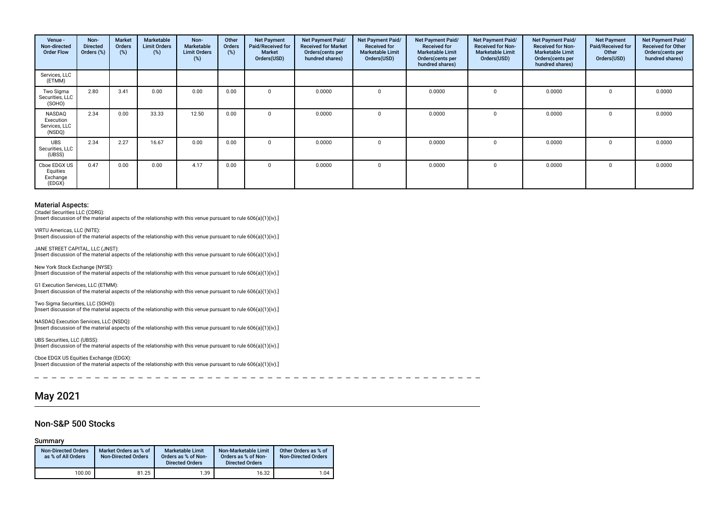| Venue -<br>Non-directed<br><b>Order Flow</b>   | Non-<br><b>Directed</b><br>Orders (%) | <b>Market</b><br>Orders<br>(%) | Marketable<br><b>Limit Orders</b><br>(%) | Non-<br><b>Marketable</b><br><b>Limit Orders</b><br>(%) | Other<br>Orders<br>(%) | <b>Net Payment</b><br>Paid/Received for<br><b>Market</b><br>Orders(USD) | Net Payment Paid/<br><b>Received for Market</b><br>Orders(cents per<br>hundred shares) | Net Payment Paid/<br><b>Received for</b><br><b>Marketable Limit</b><br>Orders(USD) | Net Payment Paid/<br><b>Received for</b><br><b>Marketable Limit</b><br>Orders(cents per<br>hundred shares) | Net Payment Paid/<br><b>Received for Non-</b><br><b>Marketable Limit</b><br>Orders(USD) | Net Payment Paid/<br><b>Received for Non-</b><br><b>Marketable Limit</b><br>Orders (cents per<br>hundred shares) | <b>Net Payment</b><br>Paid/Received for<br>Other<br>Orders(USD) | Net Payment Paid/<br><b>Received for Other</b><br>Orders(cents per<br>hundred shares) |
|------------------------------------------------|---------------------------------------|--------------------------------|------------------------------------------|---------------------------------------------------------|------------------------|-------------------------------------------------------------------------|----------------------------------------------------------------------------------------|------------------------------------------------------------------------------------|------------------------------------------------------------------------------------------------------------|-----------------------------------------------------------------------------------------|------------------------------------------------------------------------------------------------------------------|-----------------------------------------------------------------|---------------------------------------------------------------------------------------|
| Services, LLC<br>(ETMM)                        |                                       |                                |                                          |                                                         |                        |                                                                         |                                                                                        |                                                                                    |                                                                                                            |                                                                                         |                                                                                                                  |                                                                 |                                                                                       |
| Two Sigma<br>Securities, LLC<br>(SOHO)         | 2.80                                  | 3.41                           | 0.00                                     | 0.00                                                    | 0.00                   | $\Omega$                                                                | 0.0000                                                                                 |                                                                                    | 0.0000                                                                                                     | $\Omega$                                                                                | 0.0000                                                                                                           | 0                                                               | 0.0000                                                                                |
| NASDAQ<br>Execution<br>Services, LLC<br>(NSDQ) | 2.34                                  | 0.00                           | 33.33                                    | 12.50                                                   | 0.00                   |                                                                         | 0.0000                                                                                 |                                                                                    | 0.0000                                                                                                     |                                                                                         | 0.0000                                                                                                           |                                                                 | 0.0000                                                                                |
| <b>UBS</b><br>Securities, LLC<br>(UBSS)        | 2.34                                  | 2.27                           | 16.67                                    | 0.00                                                    | 0.00                   | $\Omega$                                                                | 0.0000                                                                                 |                                                                                    | 0.0000                                                                                                     | $\Omega$                                                                                | 0.0000                                                                                                           | n.                                                              | 0.0000                                                                                |
| Cboe EDGX US<br>Equities<br>Exchange<br>(EDGX) | 0.47                                  | 0.00                           | 0.00                                     | 4.17                                                    | 0.00                   | $\Omega$                                                                | 0.0000                                                                                 |                                                                                    | 0.0000                                                                                                     |                                                                                         | 0.0000                                                                                                           |                                                                 | 0.0000                                                                                |

Citadel Securities LLC (CDRG):

JANE STREET CAPITAL, LLC (JNST):

[Insert discussion of the material aspects of the relationship with this venue pursuant to rule 606(a)(1)(iv).]

VIRTU Americas, LLC (NITE): [Insert discussion of the material aspects of the relationship with this venue pursuant to rule 606(a)(1)(iv).]

[Insert discussion of the material aspects of the relationship with this venue pursuant to rule 606(a)(1)(iv).] New York Stock Exchange (NYSE):

[Insert discussion of the material aspects of the relationship with this venue pursuant to rule 606(a)(1)(iv).]

G1 Execution Services, LLC (ETMM): [Insert discussion of the material aspects of the relationship with this venue pursuant to rule 606(a)(1)(iv).]

Two Sigma Securities, LLC (SOHO): [Insert discussion of the material aspects of the relationship with this venue pursuant to rule 606(a)(1)(iv).]

NASDAQ Execution Services, LLC (NSDQ): [Insert discussion of the material aspects of the relationship with this venue pursuant to rule 606(a)(1)(iv).]

UBS Securities, LLC (UBSS): [Insert discussion of the material aspects of the relationship with this venue pursuant to rule 606(a)(1)(iv).]

Cboe EDGX US Equities Exchange (EDGX): [Insert discussion of the material aspects of the relationship with this venue pursuant to rule 606(a)(1)(iv).]

 $\sim$ -----------------

# May 2021

### Non-S&P 500 Stocks

Summary

| <b>Non-Directed Orders</b><br>as % of All Orders | Market Orders as % of<br><b>Non-Directed Orders</b> | <b>Marketable Limit</b><br>Orders as % of Non-<br><b>Directed Orders</b> | Non-Marketable Limit<br>Orders as % of Non-<br><b>Directed Orders</b> | Other Orders as % of<br><b>Non-Directed Orders</b> |
|--------------------------------------------------|-----------------------------------------------------|--------------------------------------------------------------------------|-----------------------------------------------------------------------|----------------------------------------------------|
| 100.00                                           | 81.25                                               | 1.39                                                                     | 16.32                                                                 | 1.04                                               |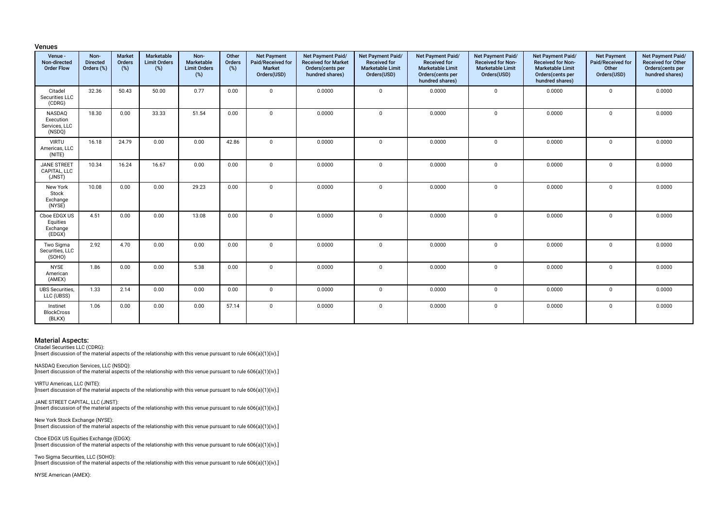| <b>Venues</b> |  |
|---------------|--|
|               |  |

| Venue -<br>Non-directed<br><b>Order Flow</b>   | Non-<br><b>Directed</b><br>Orders (%) | <b>Market</b><br>Orders<br>(%) | Marketable<br><b>Limit Orders</b><br>(%) | Non-<br>Marketable<br><b>Limit Orders</b><br>(%) | Other<br>Orders<br>(%) | <b>Net Payment</b><br>Paid/Received for<br>Market<br>Orders(USD) | Net Payment Paid/<br><b>Received for Market</b><br>Orders(cents per<br>hundred shares) | Net Payment Paid/<br><b>Received for</b><br><b>Marketable Limit</b><br>Orders(USD) | Net Payment Paid/<br><b>Received for</b><br><b>Marketable Limit</b><br>Orders(cents per<br>hundred shares) | Net Payment Paid/<br><b>Received for Non-</b><br><b>Marketable Limit</b><br>Orders(USD) | Net Payment Paid/<br><b>Received for Non-</b><br><b>Marketable Limit</b><br>Orders(cents per<br>hundred shares) | <b>Net Payment</b><br>Paid/Received for<br>Other<br>Orders(USD) | Net Payment Paid/<br>Received for Other<br>Orders(cents per<br>hundred shares) |
|------------------------------------------------|---------------------------------------|--------------------------------|------------------------------------------|--------------------------------------------------|------------------------|------------------------------------------------------------------|----------------------------------------------------------------------------------------|------------------------------------------------------------------------------------|------------------------------------------------------------------------------------------------------------|-----------------------------------------------------------------------------------------|-----------------------------------------------------------------------------------------------------------------|-----------------------------------------------------------------|--------------------------------------------------------------------------------|
| Citadel<br>Securities LLC<br>(CDRG)            | 32.36                                 | 50.43                          | 50.00                                    | 0.77                                             | 0.00                   | $\Omega$                                                         | 0.0000                                                                                 | $\mathbf 0$                                                                        | 0.0000                                                                                                     | $\mathbf 0$                                                                             | 0.0000                                                                                                          | $\mathbf 0$                                                     | 0.0000                                                                         |
| NASDAQ<br>Execution<br>Services, LLC<br>(NSDQ) | 18.30                                 | 0.00                           | 33.33                                    | 51.54                                            | 0.00                   | $\Omega$                                                         | 0.0000                                                                                 | $\mathbf 0$                                                                        | 0.0000                                                                                                     | $\mathbf 0$                                                                             | 0.0000                                                                                                          | 0                                                               | 0.0000                                                                         |
| <b>VIRTU</b><br>Americas, LLC<br>(NITE)        | 16.18                                 | 24.79                          | 0.00                                     | 0.00                                             | 42.86                  | $\Omega$                                                         | 0.0000                                                                                 | $\mathbf 0$                                                                        | 0.0000                                                                                                     | $\mathbf 0$                                                                             | 0.0000                                                                                                          | $\mathbf{0}$                                                    | 0.0000                                                                         |
| <b>JANE STREET</b><br>CAPITAL, LLC<br>(JNST)   | 10.34                                 | 16.24                          | 16.67                                    | 0.00                                             | 0.00                   | $\Omega$                                                         | 0.0000                                                                                 | $\mathbf 0$                                                                        | 0.0000                                                                                                     | $\mathbf 0$                                                                             | 0.0000                                                                                                          | $\mathbf 0$                                                     | 0.0000                                                                         |
| New York<br>Stock<br>Exchange<br>(NYSE)        | 10.08                                 | 0.00                           | 0.00                                     | 29.23                                            | 0.00                   | $\Omega$                                                         | 0.0000                                                                                 | $\mathbf 0$                                                                        | 0.0000                                                                                                     | $\mathbf 0$                                                                             | 0.0000                                                                                                          | 0                                                               | 0.0000                                                                         |
| Cboe EDGX US<br>Equities<br>Exchange<br>(EDGX) | 4.51                                  | 0.00                           | 0.00                                     | 13.08                                            | 0.00                   | $\Omega$                                                         | 0.0000                                                                                 | $\mathbf 0$                                                                        | 0.0000                                                                                                     | $\mathbf 0$                                                                             | 0.0000                                                                                                          | $\mathbf 0$                                                     | 0.0000                                                                         |
| Two Sigma<br>Securities, LLC<br>(SOHO)         | 2.92                                  | 4.70                           | 0.00                                     | 0.00                                             | 0.00                   | $\Omega$                                                         | 0.0000                                                                                 | $\mathbf 0$                                                                        | 0.0000                                                                                                     | $\mathbf 0$                                                                             | 0.0000                                                                                                          | $\mathbf 0$                                                     | 0.0000                                                                         |
| <b>NYSE</b><br>American<br>(AMEX)              | 1.86                                  | 0.00                           | 0.00                                     | 5.38                                             | 0.00                   | $\Omega$                                                         | 0.0000                                                                                 | $\mathbf 0$                                                                        | 0.0000                                                                                                     | $\mathbf 0$                                                                             | 0.0000                                                                                                          | $\mathbf{0}$                                                    | 0.0000                                                                         |
| <b>UBS Securities,</b><br>LLC (UBSS)           | 1.33                                  | 2.14                           | 0.00                                     | 0.00                                             | 0.00                   | $\Omega$                                                         | 0.0000                                                                                 | $\mathbf 0$                                                                        | 0.0000                                                                                                     | 0                                                                                       | 0.0000                                                                                                          | 0                                                               | 0.0000                                                                         |
| Instinet<br><b>BlockCross</b><br>(BLKX)        | 1.06                                  | 0.00                           | 0.00                                     | 0.00                                             | 57.14                  | $\mathbf 0$                                                      | 0.0000                                                                                 | $\mathbf 0$                                                                        | 0.0000                                                                                                     | 0                                                                                       | 0.0000                                                                                                          | 0                                                               | 0.0000                                                                         |

Citadel Securities LLC (CDRG):

[Insert discussion of the material aspects of the relationship with this venue pursuant to rule 606(a)(1)(iv).]

NASDAQ Execution Services, LLC (NSDQ): [Insert discussion of the material aspects of the relationship with this venue pursuant to rule 606(a)(1)(iv).]

VIRTU Americas, LLC (NITE): [Insert discussion of the material aspects of the relationship with this venue pursuant to rule 606(a)(1)(iv).]

JANE STREET CAPITAL, LLC (JNST): [Insert discussion of the material aspects of the relationship with this venue pursuant to rule 606(a)(1)(iv).]

New York Stock Exchange (NYSE): [Insert discussion of the material aspects of the relationship with this venue pursuant to rule 606(a)(1)(iv).]

Cboe EDGX US Equities Exchange (EDGX): [Insert discussion of the material aspects of the relationship with this venue pursuant to rule 606(a)(1)(iv).]

Two Sigma Securities, LLC (SOHO): [Insert discussion of the material aspects of the relationship with this venue pursuant to rule 606(a)(1)(iv).]

NYSE American (AMEX):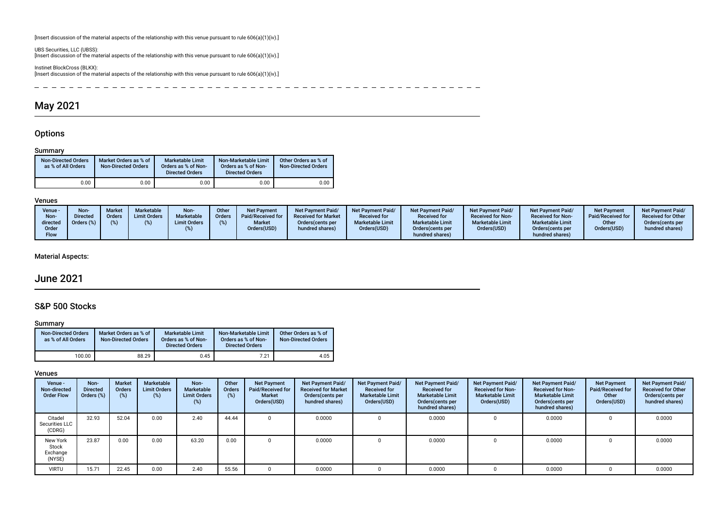[Insert discussion of the material aspects of the relationship with this venue pursuant to rule 606(a)(1)(iv).]

UBS Securities, LLC (UBSS): [Insert discussion of the material aspects of the relationship with this venue pursuant to rule 606(a)(1)(iv).]

Instinet BlockCross (BLKX): [Insert discussion of the material aspects of the relationship with this venue pursuant to rule 606(a)(1)(iv).]

 $\overline{\phantom{0}}$ - - - - - - - - - - $\overline{\phantom{0}}$  $\overline{\phantom{0}}$  $\overline{\phantom{0}}$  $- - - - - \sim$  $\overline{\phantom{0}}$  $\overline{\phantom{0}}$  $- - - - - -$ 

# May 2021

### **Options**

#### Summary

| <b>Non-Directed Orders</b><br>as % of All Orders | Market Orders as % of<br><b>Non-Directed Orders</b> | <b>Marketable Limit</b><br>Orders as % of Non-<br><b>Directed Orders</b> | Non-Marketable Limit<br>Orders as % of Non-<br><b>Directed Orders</b> | Other Orders as % of<br><b>Non-Directed Orders</b> |
|--------------------------------------------------|-----------------------------------------------------|--------------------------------------------------------------------------|-----------------------------------------------------------------------|----------------------------------------------------|
| 0.00                                             | 0.00                                                | 0.00                                                                     | 0.00                                                                  | 0.00                                               |

#### Venues

| Non<br>Venue -<br><b>Directed</b><br>Non-<br>Orders (%)<br>directed<br>Order<br>Flow | <b>Market</b><br>Orders | Marketable<br><b>Limit Orders</b> | Non-<br><b>Marketable</b><br><b>Limit Orders</b> | Other<br><b>Orders</b> | Net Payment<br>Paid/Received for<br><b>Market</b><br>Orders(USD) | <b>Net Payment Paid/</b><br><b>Received for Market</b><br>Orders (cents per<br>hundred shares) | Net Payment Paid/<br><b>Received for</b><br><b>Marketable Limit</b><br>Orders(USD) | <b>Net Payment Paid/</b><br><b>Received for</b><br><b>Marketable Limit</b><br>Orders(cents per<br>hundred shares) | <b>Net Payment Paid/</b><br><b>Received for Non-</b><br><b>Marketable Limit</b><br>Orders(USD) | Net Payment Paid/<br><b>Received for Non-</b><br><b>Marketable Limit</b><br>Orders (cents per<br>hundred shares) | Net Payment<br>Paid/Received for<br>Other<br>Orders(USD) | <b>Net Payment Paid/</b><br><b>Received for Other</b><br>Orders (cents per<br>hundred shares) |
|--------------------------------------------------------------------------------------|-------------------------|-----------------------------------|--------------------------------------------------|------------------------|------------------------------------------------------------------|------------------------------------------------------------------------------------------------|------------------------------------------------------------------------------------|-------------------------------------------------------------------------------------------------------------------|------------------------------------------------------------------------------------------------|------------------------------------------------------------------------------------------------------------------|----------------------------------------------------------|-----------------------------------------------------------------------------------------------|
|--------------------------------------------------------------------------------------|-------------------------|-----------------------------------|--------------------------------------------------|------------------------|------------------------------------------------------------------|------------------------------------------------------------------------------------------------|------------------------------------------------------------------------------------|-------------------------------------------------------------------------------------------------------------------|------------------------------------------------------------------------------------------------|------------------------------------------------------------------------------------------------------------------|----------------------------------------------------------|-----------------------------------------------------------------------------------------------|

### Material Aspects:

# June 2021

### S&P 500 Stocks

#### Summary

| <b>Non-Directed Orders</b><br>as % of All Orders | Market Orders as % of<br><b>Non-Directed Orders</b> | <b>Marketable Limit</b><br>Orders as % of Non-<br><b>Directed Orders</b> | Non-Marketable Limit<br>Orders as % of Non-<br><b>Directed Orders</b> | Other Orders as % of<br><b>Non-Directed Orders</b> |
|--------------------------------------------------|-----------------------------------------------------|--------------------------------------------------------------------------|-----------------------------------------------------------------------|----------------------------------------------------|
| 100.00                                           | 88.29                                               | 0.45                                                                     | 7.21                                                                  | 4.05                                               |

| Venue -<br>Non-directed<br><b>Order Flow</b> | Non-<br><b>Directed</b><br>Orders (%) | <b>Market</b><br><b>Orders</b><br>(%) | Marketable<br><b>Limit Orders</b><br>(%) | Non-<br>Marketable<br><b>Limit Orders</b><br>(%) | Other<br><b>Orders</b><br>(%) | <b>Net Payment</b><br>Paid/Received for<br><b>Market</b><br>Orders(USD) | Net Payment Paid/<br><b>Received for Market</b><br>Orders(cents per<br>hundred shares) | Net Payment Paid/<br><b>Received for</b><br><b>Marketable Limit</b><br>Orders(USD) | Net Payment Paid/<br><b>Received for</b><br><b>Marketable Limit</b><br>Orders (cents per<br>hundred shares) | <b>Net Payment Paid/</b><br><b>Received for Non-</b><br><b>Marketable Limit</b><br>Orders(USD) | Net Payment Paid/<br><b>Received for Non-</b><br><b>Marketable Limit</b><br>Orders (cents per<br>hundred shares) | <b>Net Payment</b><br>Paid/Received for<br>Other<br>Orders(USD) | Net Payment Paid/<br><b>Received for Other</b><br>Orders(cents per<br>hundred shares) |
|----------------------------------------------|---------------------------------------|---------------------------------------|------------------------------------------|--------------------------------------------------|-------------------------------|-------------------------------------------------------------------------|----------------------------------------------------------------------------------------|------------------------------------------------------------------------------------|-------------------------------------------------------------------------------------------------------------|------------------------------------------------------------------------------------------------|------------------------------------------------------------------------------------------------------------------|-----------------------------------------------------------------|---------------------------------------------------------------------------------------|
| Citadel<br>Securities LLC<br>(CDRG)          | 32.93                                 | 52.04                                 | 0.00                                     | 2.40                                             | 44.44                         |                                                                         | 0.0000                                                                                 |                                                                                    | 0.0000                                                                                                      |                                                                                                | 0.0000                                                                                                           |                                                                 | 0.0000                                                                                |
| New York<br>Stock<br>Exchange<br>(NYSE)      | 23.87                                 | 0.00                                  | 0.00                                     | 63.20                                            | 0.00                          |                                                                         | 0.0000                                                                                 |                                                                                    | 0.0000                                                                                                      |                                                                                                | 0.0000                                                                                                           |                                                                 | 0.0000                                                                                |
| <b>VIRTU</b>                                 | 15.71                                 | 22.45                                 | 0.00                                     | 2.40                                             | 55.56                         |                                                                         | 0.0000                                                                                 |                                                                                    | 0.0000                                                                                                      |                                                                                                | 0.0000                                                                                                           |                                                                 | 0.0000                                                                                |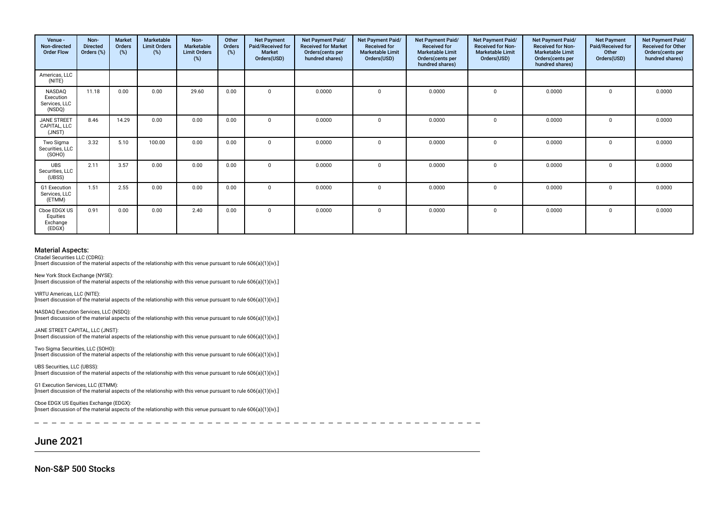| Venue -<br>Non-directed<br><b>Order Flow</b>   | Non-<br><b>Directed</b><br>Orders (%) | Market<br>Orders<br>$(\%)$ | Marketable<br><b>Limit Orders</b><br>(%) | Non-<br>Marketable<br><b>Limit Orders</b><br>$(\%)$ | Other<br>Orders<br>(%) | <b>Net Payment</b><br>Paid/Received for<br><b>Market</b><br>Orders(USD) | Net Payment Paid/<br><b>Received for Market</b><br>Orders(cents per<br>hundred shares) | Net Payment Paid/<br><b>Received for</b><br><b>Marketable Limit</b><br>Orders(USD) | <b>Net Payment Paid/</b><br><b>Received for</b><br><b>Marketable Limit</b><br>Orders(cents per<br>hundred shares) | Net Payment Paid/<br><b>Received for Non-</b><br><b>Marketable Limit</b><br>Orders(USD) | Net Payment Paid/<br><b>Received for Non-</b><br><b>Marketable Limit</b><br>Orders (cents per<br>hundred shares) | <b>Net Payment</b><br>Paid/Received for<br>Other<br>Orders(USD) | Net Payment Paid/<br><b>Received for Other</b><br>Orders(cents per<br>hundred shares) |
|------------------------------------------------|---------------------------------------|----------------------------|------------------------------------------|-----------------------------------------------------|------------------------|-------------------------------------------------------------------------|----------------------------------------------------------------------------------------|------------------------------------------------------------------------------------|-------------------------------------------------------------------------------------------------------------------|-----------------------------------------------------------------------------------------|------------------------------------------------------------------------------------------------------------------|-----------------------------------------------------------------|---------------------------------------------------------------------------------------|
| Americas, LLC<br>(NITE)                        |                                       |                            |                                          |                                                     |                        |                                                                         |                                                                                        |                                                                                    |                                                                                                                   |                                                                                         |                                                                                                                  |                                                                 |                                                                                       |
| NASDAO<br>Execution<br>Services, LLC<br>(NSDQ) | 11.18                                 | 0.00                       | 0.00                                     | 29.60                                               | 0.00                   | $\mathbf{0}$                                                            | 0.0000                                                                                 | $\Omega$                                                                           | 0.0000                                                                                                            | $^{\circ}$                                                                              | 0.0000                                                                                                           | $^{\circ}$                                                      | 0.0000                                                                                |
| <b>JANE STREET</b><br>CAPITAL, LLC<br>(JNST)   | 8.46                                  | 14.29                      | 0.00                                     | 0.00                                                | 0.00                   | $\Omega$                                                                | 0.0000                                                                                 | $\Omega$                                                                           | 0.0000                                                                                                            | $\mathbf 0$                                                                             | 0.0000                                                                                                           | $\Omega$                                                        | 0.0000                                                                                |
| Two Sigma<br>Securities, LLC<br>(SOHO)         | 3.32                                  | 5.10                       | 100.00                                   | 0.00                                                | 0.00                   | $\Omega$                                                                | 0.0000                                                                                 | $\Omega$                                                                           | 0.0000                                                                                                            | 0                                                                                       | 0.0000                                                                                                           | $\Omega$                                                        | 0.0000                                                                                |
| <b>UBS</b><br>Securities, LLC<br>(UBSS)        | 2.11                                  | 3.57                       | 0.00                                     | 0.00                                                | 0.00                   | $\Omega$                                                                | 0.0000                                                                                 | $\Omega$                                                                           | 0.0000                                                                                                            | $^{\circ}$                                                                              | 0.0000                                                                                                           | $\Omega$                                                        | 0.0000                                                                                |
| G1 Execution<br>Services, LLC<br>(ETMM)        | 1.51                                  | 2.55                       | 0.00                                     | 0.00                                                | 0.00                   | $\mathbf{0}$                                                            | 0.0000                                                                                 | $\mathbf{0}$                                                                       | 0.0000                                                                                                            | $\mathbf 0$                                                                             | 0.0000                                                                                                           | $\mathbf 0$                                                     | 0.0000                                                                                |
| Cboe EDGX US<br>Equities<br>Exchange<br>(EDGX) | 0.91                                  | 0.00                       | 0.00                                     | 2.40                                                | 0.00                   | $\mathbf 0$                                                             | 0.0000                                                                                 | $\Omega$                                                                           | 0.0000                                                                                                            | 0                                                                                       | 0.0000                                                                                                           | $\mathbf 0$                                                     | 0.0000                                                                                |

Citadel Securities LLC (CDRG):

[Insert discussion of the material aspects of the relationship with this venue pursuant to rule 606(a)(1)(iv).]

New York Stock Exchange (NYSE): [Insert discussion of the material aspects of the relationship with this venue pursuant to rule 606(a)(1)(iv).]

VIRTU Americas, LLC (NITE): [Insert discussion of the material aspects of the relationship with this venue pursuant to rule 606(a)(1)(iv).]

NASDAQ Execution Services, LLC (NSDQ): [Insert discussion of the material aspects of the relationship with this venue pursuant to rule 606(a)(1)(iv).]

JANE STREET CAPITAL, LLC (JNST): [Insert discussion of the material aspects of the relationship with this venue pursuant to rule 606(a)(1)(iv).]

Two Sigma Securities, LLC (SOHO): [Insert discussion of the material aspects of the relationship with this venue pursuant to rule 606(a)(1)(iv).]

UBS Securities, LLC (UBSS): [Insert discussion of the material aspects of the relationship with this venue pursuant to rule 606(a)(1)(iv).]

G1 Execution Services, LLC (ETMM): [Insert discussion of the material aspects of the relationship with this venue pursuant to rule 606(a)(1)(iv).]

Cboe EDGX US Equities Exchange (EDGX): [Insert discussion of the material aspects of the relationship with this venue pursuant to rule 606(a)(1)(iv).]

June 2021

Non-S&P 500 Stocks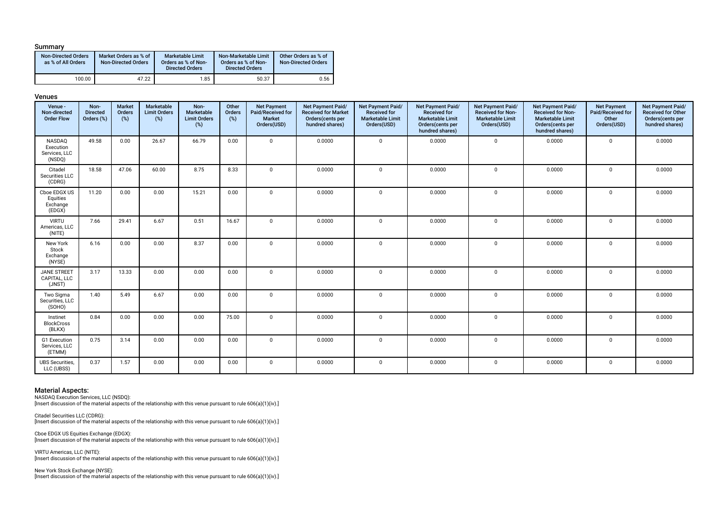#### Summary

| <b>Non-Directed Orders</b><br>as % of All Orders | Market Orders as % of<br><b>Non-Directed Orders</b> | <b>Marketable Limit</b><br>Orders as % of Non-<br><b>Directed Orders</b> | Non-Marketable Limit<br>Orders as % of Non-<br><b>Directed Orders</b> | Other Orders as % of<br><b>Non-Directed Orders</b> |
|--------------------------------------------------|-----------------------------------------------------|--------------------------------------------------------------------------|-----------------------------------------------------------------------|----------------------------------------------------|
| 100.00                                           | 47.22                                               | 1.85                                                                     | 50.37                                                                 | 0.56                                               |

#### Venues

| Venue -<br>Non-directed<br><b>Order Flow</b>   | Non-<br><b>Directed</b><br>Orders (%) | Market<br>Orders<br>(%) | Marketable<br><b>Limit Orders</b><br>$(\%)$ | Non-<br>Marketable<br><b>Limit Orders</b><br>$(\%)$ | Other<br>Orders<br>(%) | <b>Net Payment</b><br>Paid/Received for<br>Market<br>Orders(USD) | Net Payment Paid/<br><b>Received for Market</b><br>Orders(cents per<br>hundred shares) | <b>Net Payment Paid/</b><br><b>Received for</b><br><b>Marketable Limit</b><br>Orders(USD) | Net Payment Paid/<br><b>Received for</b><br><b>Marketable Limit</b><br>Orders(cents per<br>hundred shares) | Net Payment Paid/<br><b>Received for Non-</b><br><b>Marketable Limit</b><br>Orders(USD) | Net Payment Paid/<br><b>Received for Non-</b><br><b>Marketable Limit</b><br>Orders(cents per<br>hundred shares) | <b>Net Payment</b><br>Paid/Received for<br>Other<br>Orders(USD) | Net Payment Paid/<br><b>Received for Other</b><br>Orders(cents per<br>hundred shares) |
|------------------------------------------------|---------------------------------------|-------------------------|---------------------------------------------|-----------------------------------------------------|------------------------|------------------------------------------------------------------|----------------------------------------------------------------------------------------|-------------------------------------------------------------------------------------------|------------------------------------------------------------------------------------------------------------|-----------------------------------------------------------------------------------------|-----------------------------------------------------------------------------------------------------------------|-----------------------------------------------------------------|---------------------------------------------------------------------------------------|
| NASDAQ<br>Execution<br>Services, LLC<br>(NSDQ) | 49.58                                 | 0.00                    | 26.67                                       | 66.79                                               | 0.00                   | $\Omega$                                                         | 0.0000                                                                                 | $\mathbf 0$                                                                               | 0.0000                                                                                                     | $\mathbf 0$                                                                             | 0.0000                                                                                                          | $\mathbf 0$                                                     | 0.0000                                                                                |
| Citadel<br>Securities LLC<br>(CDRG)            | 18.58                                 | 47.06                   | 60.00                                       | 8.75                                                | 8.33                   | $\Omega$                                                         | 0.0000                                                                                 | $\mathbf 0$                                                                               | 0.0000                                                                                                     | $\mathbf 0$                                                                             | 0.0000                                                                                                          | $\mathbf 0$                                                     | 0.0000                                                                                |
| Cboe EDGX US<br>Equities<br>Exchange<br>(EDGX) | 11.20                                 | 0.00                    | 0.00                                        | 15.21                                               | 0.00                   | $\Omega$                                                         | 0.0000                                                                                 | $\mathbf 0$                                                                               | 0.0000                                                                                                     | $\mathbf 0$                                                                             | 0.0000                                                                                                          | $\mathbf 0$                                                     | 0.0000                                                                                |
| <b>VIRTU</b><br>Americas, LLC<br>(NITE)        | 7.66                                  | 29.41                   | 6.67                                        | 0.51                                                | 16.67                  | $\Omega$                                                         | 0.0000                                                                                 | $\Omega$                                                                                  | 0.0000                                                                                                     | $\mathbf 0$                                                                             | 0.0000                                                                                                          | $\mathbf 0$                                                     | 0.0000                                                                                |
| New York<br>Stock<br>Exchange<br>(NYSE)        | 6.16                                  | 0.00                    | 0.00                                        | 8.37                                                | 0.00                   | $\Omega$                                                         | 0.0000                                                                                 | $\mathbf 0$                                                                               | 0.0000                                                                                                     | $\mathbf 0$                                                                             | 0.0000                                                                                                          | $\mathbf 0$                                                     | 0.0000                                                                                |
| <b>JANE STREET</b><br>CAPITAL, LLC<br>(JNST)   | 3.17                                  | 13.33                   | 0.00                                        | 0.00                                                | 0.00                   | $\Omega$                                                         | 0.0000                                                                                 | $\mathbf 0$                                                                               | 0.0000                                                                                                     | $\mathbf 0$                                                                             | 0.0000                                                                                                          | $\mathbf 0$                                                     | 0.0000                                                                                |
| Two Sigma<br>Securities, LLC<br>(SOHO)         | 1.40                                  | 5.49                    | 6.67                                        | 0.00                                                | 0.00                   | $\Omega$                                                         | 0.0000                                                                                 | $\mathbf 0$                                                                               | 0.0000                                                                                                     | $\mathbf 0$                                                                             | 0.0000                                                                                                          | $\mathbf 0$                                                     | 0.0000                                                                                |
| Instinet<br><b>BlockCross</b><br>(BLKX)        | 0.84                                  | 0.00                    | 0.00                                        | 0.00                                                | 75.00                  | $\mathbf 0$                                                      | 0.0000                                                                                 | $\mathbf 0$                                                                               | 0.0000                                                                                                     | $\mathbf 0$                                                                             | 0.0000                                                                                                          | $\mathbf 0$                                                     | 0.0000                                                                                |
| G1 Execution<br>Services, LLC<br>(ETMM)        | 0.75                                  | 3.14                    | 0.00                                        | 0.00                                                | 0.00                   | $\Omega$                                                         | 0.0000                                                                                 | $\mathbf 0$                                                                               | 0.0000                                                                                                     | $\mathbf 0$                                                                             | 0.0000                                                                                                          | 0                                                               | 0.0000                                                                                |
| <b>UBS</b> Securities,<br>LLC (UBSS)           | 0.37                                  | 1.57                    | 0.00                                        | 0.00                                                | 0.00                   | $\mathbf 0$                                                      | 0.0000                                                                                 | $\mathbf 0$                                                                               | 0.0000                                                                                                     | $\mathbf 0$                                                                             | 0.0000                                                                                                          | $\mathbf 0$                                                     | 0.0000                                                                                |

#### Material Aspects:

NASDAQ Execution Services, LLC (NSDQ):

[Insert discussion of the material aspects of the relationship with this venue pursuant to rule 606(a)(1)(iv).]

Citadel Securities LLC (CDRG): [Insert discussion of the material aspects of the relationship with this venue pursuant to rule 606(a)(1)(iv).]

Cboe EDGX US Equities Exchange (EDGX): [Insert discussion of the material aspects of the relationship with this venue pursuant to rule 606(a)(1)(iv).]

VIRTU Americas, LLC (NITE): [Insert discussion of the material aspects of the relationship with this venue pursuant to rule 606(a)(1)(iv).]

New York Stock Exchange (NYSE): [Insert discussion of the material aspects of the relationship with this venue pursuant to rule 606(a)(1)(iv).]